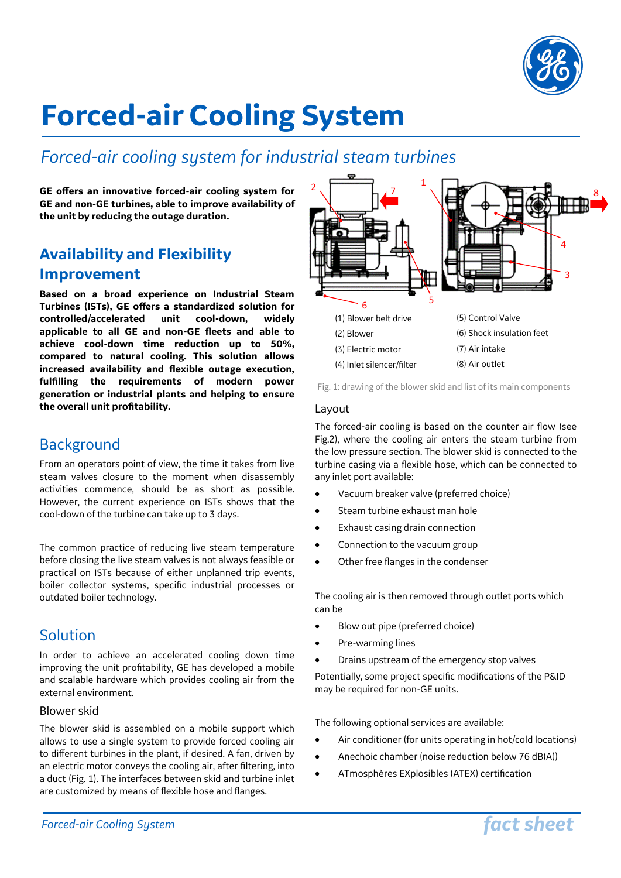

# **Forced-air Cooling System**

## *Forced-air cooling system for industrial steam turbines*

**GE offers an innovative forced-air cooling system for GE and non-GE turbines, able to improve availability of the unit by reducing the outage duration.**

## **Availability and Flexibility Improvement**

**Based on a broad experience on Industrial Steam Turbines (ISTs), GE offers a standardized solution for controlled/accelerated unit cool-down, widely applicable to all GE and non-GE fleets and able to achieve cool-down time reduction up to 50%, compared to natural cooling. This solution allows increased availability and flexible outage execution, fulfilling the requirements of modern power generation or industrial plants and helping to ensure the overall unit profitability.**

## Background

From an operators point of view, the time it takes from live steam valves closure to the moment when disassembly activities commence, should be as short as possible. However, the current experience on ISTs shows that the cool-down of the turbine can take up to 3 days.

The common practice of reducing live steam temperature before closing the live steam valves is not always feasible or practical on ISTs because of either unplanned trip events, boiler collector systems, specific industrial processes or outdated boiler technology.

## Solution

In order to achieve an accelerated cooling down time improving the unit profitability, GE has developed a mobile and scalable hardware which provides cooling air from the external environment.

#### Blower skid

The blower skid is assembled on a mobile support which allows to use a single system to provide forced cooling air to different turbines in the plant, if desired. A fan, driven by an electric motor conveys the cooling air, after filtering, into a duct (Fig. 1). The interfaces between skid and turbine inlet are customized by means of flexible hose and flanges.



Fig. 1: drawing of the blower skid and list of its main components

#### Layout

The forced-air cooling is based on the counter air flow (see Fig.2), where the cooling air enters the steam turbine from the low pressure section. The blower skid is connected to the turbine casing via a flexible hose, which can be connected to any inlet port available:

- Vacuum breaker valve (preferred choice)
- Steam turbine exhaust man hole
- Exhaust casing drain connection
- Connection to the vacuum group
- Other free flanges in the condenser

The cooling air is then removed through outlet ports which can be

- Blow out pipe (preferred choice)
- Pre-warming lines
- Drains upstream of the emergency stop valves

Potentially, some project specific modifications of the P&ID may be required for non-GE units.

The following optional services are available:

- Air conditioner (for units operating in hot/cold locations)
- Anechoic chamber (noise reduction below 76 dB(A))
- ATmosphères EXplosibles (ATEX) certification